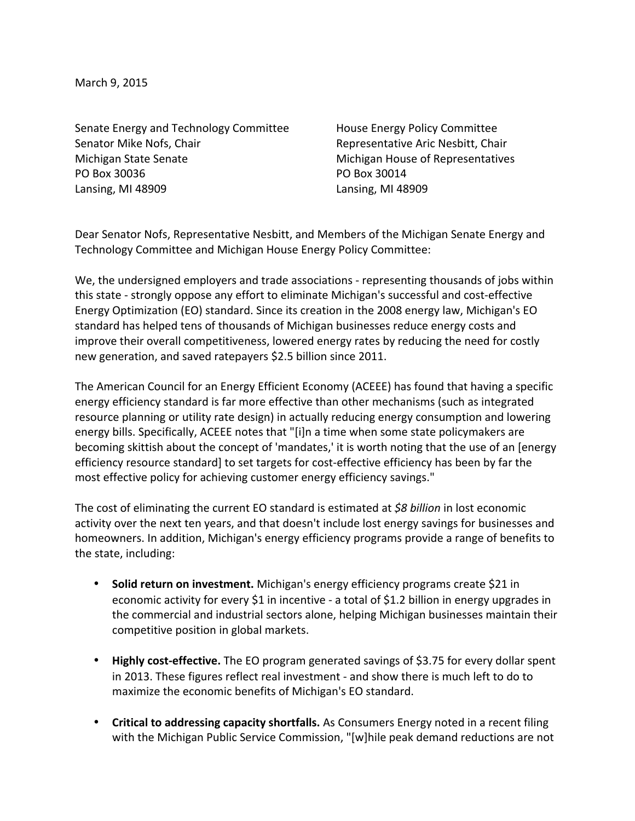March 9, 2015

Senate Energy and Technology Committee **House Energy Policy Committee** Senator Mike Nofs, Chair **Representative Aric Nesbitt, Chair** Representative Aric Nesbitt, Chair Michigan State Senate **Michigan** Michigan House of Representatives PO Box 30036 **PO Box 30014** Lansing, MI 48909 Lansing, MI 48909

Dear Senator Nofs, Representative Nesbitt, and Members of the Michigan Senate Energy and Technology Committee and Michigan House Energy Policy Committee:

We, the undersigned employers and trade associations - representing thousands of jobs within this state - strongly oppose any effort to eliminate Michigan's successful and cost-effective Energy Optimization (EO) standard. Since its creation in the 2008 energy law, Michigan's EO standard has helped tens of thousands of Michigan businesses reduce energy costs and improve their overall competitiveness, lowered energy rates by reducing the need for costly new generation, and saved ratepayers \$2.5 billion since 2011.

The American Council for an Energy Efficient Economy (ACEEE) has found that having a specific energy efficiency standard is far more effective than other mechanisms (such as integrated resource planning or utility rate design) in actually reducing energy consumption and lowering energy bills. Specifically, ACEEE notes that "[i]n a time when some state policymakers are becoming skittish about the concept of 'mandates,' it is worth noting that the use of an [energy efficiency resource standard] to set targets for cost-effective efficiency has been by far the most effective policy for achieving customer energy efficiency savings."

The cost of eliminating the current EO standard is estimated at *\$8 billion* in lost economic activity over the next ten years, and that doesn't include lost energy savings for businesses and homeowners. In addition, Michigan's energy efficiency programs provide a range of benefits to the state, including:

- Solid return on investment. Michigan's energy efficiency programs create \$21 in economic activity for every \$1 in incentive - a total of \$1.2 billion in energy upgrades in the commercial and industrial sectors alone, helping Michigan businesses maintain their competitive position in global markets.
- Highly cost-effective. The EO program generated savings of \$3.75 for every dollar spent in 2013. These figures reflect real investment - and show there is much left to do to maximize the economic benefits of Michigan's EO standard.
- Critical to addressing capacity shortfalls. As Consumers Energy noted in a recent filing with the Michigan Public Service Commission, "[w]hile peak demand reductions are not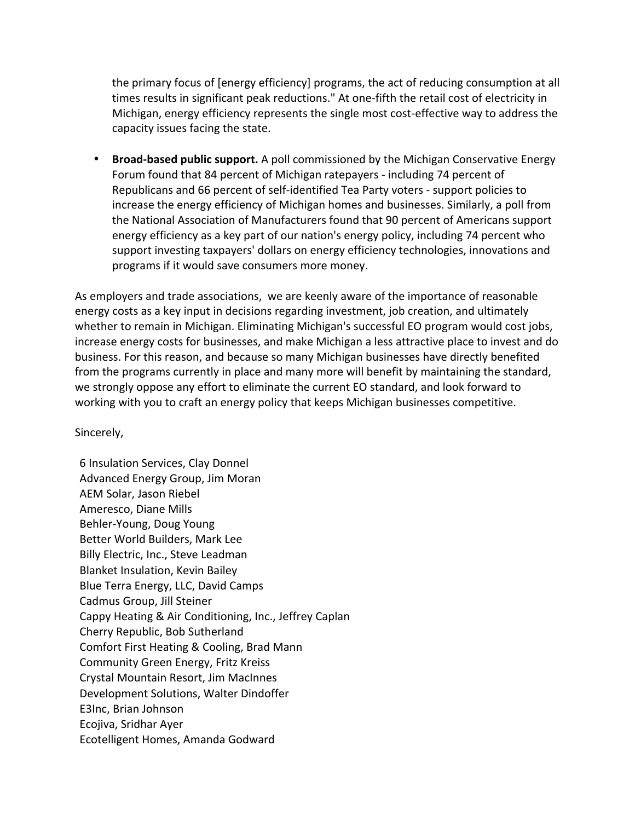the primary focus of [energy efficiency] programs, the act of reducing consumption at all times results in significant peak reductions." At one-fifth the retail cost of electricity in Michigan, energy efficiency represents the single most cost-effective way to address the capacity issues facing the state.

• Broad-based public support. A poll commissioned by the Michigan Conservative Energy Forum found that 84 percent of Michigan ratepayers - including 74 percent of Republicans and 66 percent of self-identified Tea Party voters - support policies to increase the energy efficiency of Michigan homes and businesses. Similarly, a poll from the National Association of Manufacturers found that 90 percent of Americans support energy efficiency as a key part of our nation's energy policy, including 74 percent who support investing taxpayers' dollars on energy efficiency technologies, innovations and programs if it would save consumers more money.

As employers and trade associations, we are keenly aware of the importance of reasonable energy costs as a key input in decisions regarding investment, job creation, and ultimately whether to remain in Michigan. Eliminating Michigan's successful EO program would cost jobs, increase energy costs for businesses, and make Michigan a less attractive place to invest and do business. For this reason, and because so many Michigan businesses have directly benefited from the programs currently in place and many more will benefit by maintaining the standard, we strongly oppose any effort to eliminate the current EO standard, and look forward to working with you to craft an energy policy that keeps Michigan businesses competitive.

Sincerely, 

6 Insulation Services, Clay Donnel Advanced Energy Group, Jim Moran AEM Solar, Jason Riebel Ameresco, Diane Mills Behler-Young, Doug Young Better World Builders, Mark Lee Billy Electric, Inc., Steve Leadman **Blanket Insulation, Kevin Bailey** Blue Terra Energy, LLC, David Camps Cadmus Group, Jill Steiner Cappy Heating & Air Conditioning, Inc., Jeffrey Caplan Cherry Republic, Bob Sutherland Comfort First Heating & Cooling, Brad Mann Community Green Energy, Fritz Kreiss Crystal Mountain Resort, Jim MacInnes Development Solutions, Walter Dindoffer E3Inc, Brian Johnson Ecojiva, Sridhar Ayer Ecotelligent Homes, Amanda Godward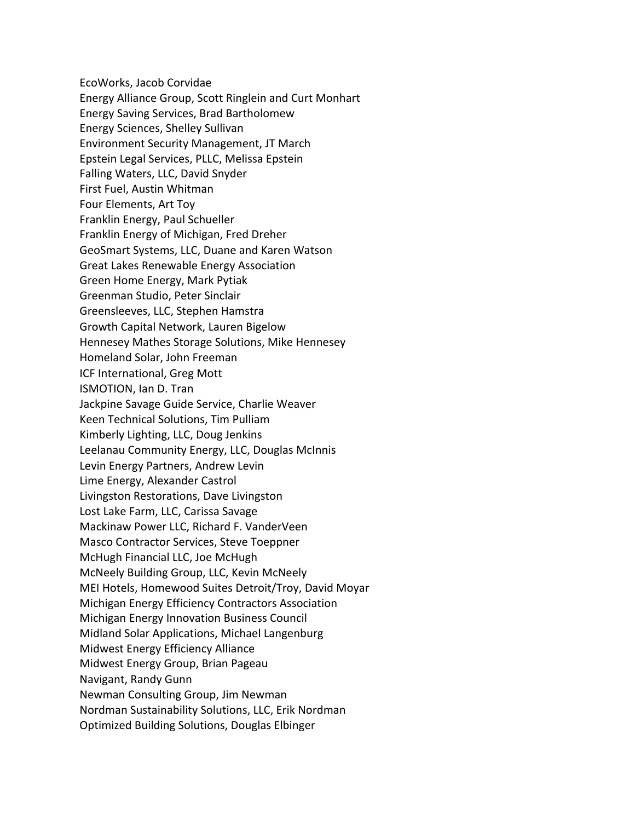EcoWorks, Jacob Corvidae Energy Alliance Group, Scott Ringlein and Curt Monhart Energy Saving Services, Brad Bartholomew Energy Sciences, Shelley Sullivan Environment Security Management, JT March Epstein Legal Services, PLLC, Melissa Epstein Falling Waters, LLC, David Snyder First Fuel, Austin Whitman Four Elements, Art Toy Franklin Energy, Paul Schueller Franklin Energy of Michigan, Fred Dreher GeoSmart Systems, LLC, Duane and Karen Watson Great Lakes Renewable Energy Association Green Home Energy, Mark Pytiak Greenman Studio, Peter Sinclair Greensleeves, LLC, Stephen Hamstra Growth Capital Network, Lauren Bigelow Hennesey Mathes Storage Solutions, Mike Hennesey Homeland Solar, John Freeman ICF International, Greg Mott ISMOTION, Ian D. Tran Jackpine Savage Guide Service, Charlie Weaver Keen Technical Solutions, Tim Pulliam Kimberly Lighting, LLC, Doug Jenkins Leelanau Community Energy, LLC, Douglas McInnis Levin Energy Partners, Andrew Levin Lime Energy, Alexander Castrol Livingston Restorations, Dave Livingston Lost Lake Farm, LLC, Carissa Savage Mackinaw Power LLC, Richard F. VanderVeen Masco Contractor Services, Steve Toeppner McHugh Financial LLC, Joe McHugh McNeely Building Group, LLC, Kevin McNeely MEI Hotels, Homewood Suites Detroit/Troy, David Moyar Michigan Energy Efficiency Contractors Association Michigan Energy Innovation Business Council Midland Solar Applications, Michael Langenburg Midwest Energy Efficiency Alliance Midwest Energy Group, Brian Pageau Navigant, Randy Gunn Newman Consulting Group, Jim Newman Nordman Sustainability Solutions, LLC, Erik Nordman Optimized Building Solutions, Douglas Elbinger